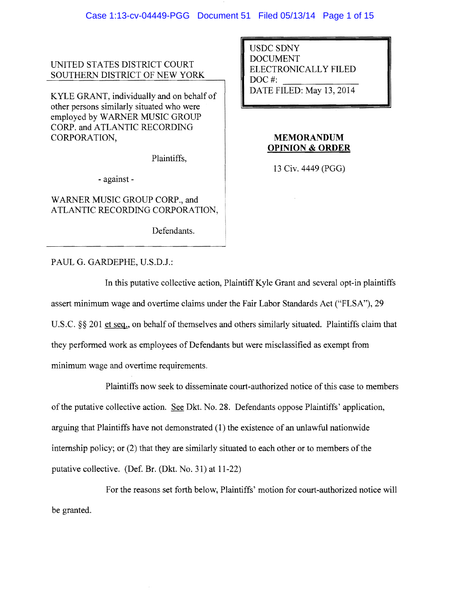UNITED STATES DISTRICT COURT SOUTHERN DISTRICT OF NEW YORK

KYLE GRANT, individually and on behalf of other persons similarly situated who were employed by WARNER MUSIC GROUP CORP. and ATLANTIC RECORDING CORPORATION,

Plaintiffs,

- against-

WARNER MUSIC GROUP CORP., and ATLANTIC RECORDING CORPORATION,

Defendants.

PAUL G. GARDEPHE, U.S.D.l.:

USDC SDNY DOCUMENT ELECTRONICALLY FILED DOC<sup>#</sup>: DATE FILED: May 13,2014

# **MEMORANDUM OPINION & ORDER**

13 Civ. 4449 (PGG)

**In** this putative collective action, Plaintiff Kyle Grant and several opt-in plaintiffs assert minimum wage and overtime claims under the Fair Labor Standards Act ("FLSA"), 29 U.S.C.  $\S$ § 201 et seq., on behalf of themselves and others similarly situated. Plaintiffs claim that they performed work as employees of Defendants but were misclassified as exempt from minimum wage and overtime requirements.

Plaintiffs now seek to disseminate court-authorized notice of this case to members of the putative collective action. See Dkt. No. 28. Defendants oppose Plaintiffs' application, arguing that Plaintiffs have not demonstrated (1) the existence of an unlawful nationwide internship policy; or  $(2)$  that they are similarly situated to each other or to members of the putative collective. (Def. Br. (Dkt. No. 31) at 11-22)

For the reasons set forth below, Plaintiffs' motion for court-authorized notice will be granted.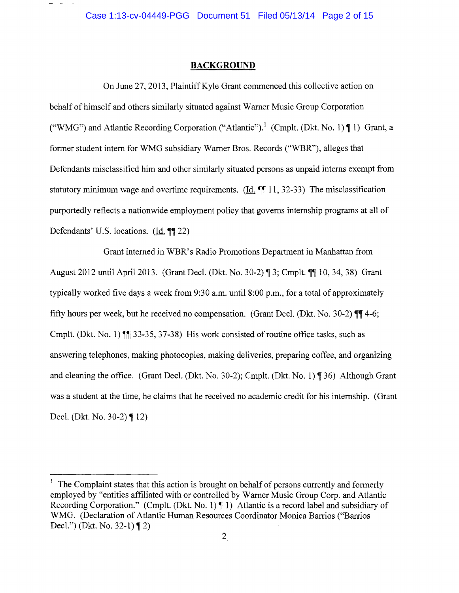$\sim$ 

## **BACKGROUND**

On June 27, 2013, Plaintiff Kyle Grant commenced this collective action on behalf of himself and others similarly situated against Warner Music Group Corporation ("WMG") and Atlantic Recording Corporation ("Atlantic").<sup>1</sup> (Cmplt. (Dkt. No. 1)  $\P$ 1) Grant, a former student intern for WMG subsidiary Warner Bros. Records ("WBR"), alleges that Defendants misclassified him and other similarly situated persons as unpaid interns exempt from statutory minimum wage and overtime requirements. (Id.  $\P$  11, 32-33) The misclassification purportedly reflects a nationwide employment policy that governs internship programs at all of Defendants' U.S. locations. (Id.  $\P$ [22)

Grant interned in WBR's Radio Promotions Department in Manhattan from August 2012 until April 2013. (Grant Decl. (Dkt. No. 30-2) ¶ 3; Cmplt. ¶¶ 10, 34, 38) Grant typically worked five days a week from 9:30 a.m. until 8:00 p.m., for a total of approximately fifty hours per week, but he received no compensation. (Grant Decl. (Dkt. No. 30-2)  $\P\P$  4-6; Cmplt. (Dkt. No. 1)  $\P$  33-35, 37-38) His work consisted of routine office tasks, such as answering telephones, making photocopies, making deliveries, preparing coffee, and organizing and cleaning the office. (Grant Decl. (Dkt. No. 30-2); Cmplt. (Dkt. No. 1) ¶ 36) Although Grant was a student at the time, he claims that he received no academic credit for his internship. (Grant Decl. (Dkt. No. 30-2)  $\P$  12)

<sup>&</sup>lt;sup>1</sup> The Complaint states that this action is brought on behalf of persons currently and formerly employed by "entities affiliated with or controlled by Warner Music Group Corp. and Atlantic Recording Corporation." (Cmplt. (Dkt. No. 1)  $\P$  1) Atlantic is a record label and subsidiary of WMG. (Declaration of Atlantic Human Resources Coordinator Monica Barrios ("Barrios Decl.") (Dkt. No. 32-1)  $\P$  2)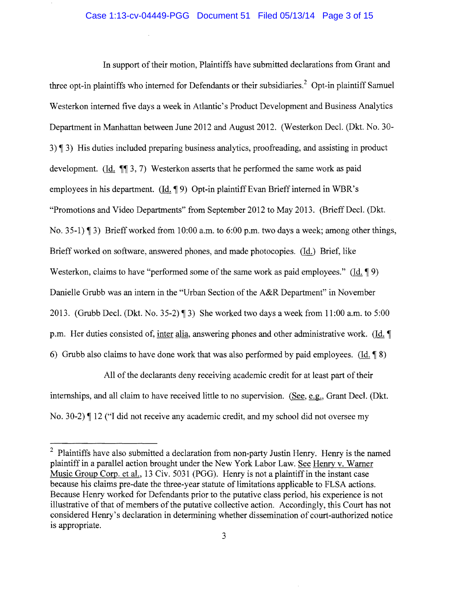In support of their motion, Plaintiffs have submitted declarations from Grant and three opt-in plaintiffs who interned for Defendants or their subsidiaries.<sup>2</sup> Opt-in plaintiff Samuel Westerkon interned five days a week in Atlantic's Product Development and Business Analytics Department in Manhattan between June 2012 and August 2012. (Westerkon Dec!. (Dkt. No. 30 3)  $\parallel$  3) His duties included preparing business analytics, proofreading, and assisting in product development. (Id.  $\P$  $(3, 7)$  Westerkon asserts that he performed the same work as paid employees in his department.  $(\text{Id. } \P 9)$  Opt-in plaintiff Evan Brieff interned in WBR's "Promotions and Video Departments" from September 2012 to May 2013. (Brieff Decl. (Dkt.) No. 35-1)  $\parallel$  3) Brieff worked from 10:00 a.m. to 6:00 p.m. two days a week; among other things, Brieffworked on software, answered phones, and made photocopies. (Id.) Brief, like Westerkon, claims to have "performed some of the same work as paid employees." (Id.  $\phi$ ) Danielle Grubb was an intern in the "Urban Section of the A&R Department" in November 2013. (Grubb Decl. (Dkt. No. 35-2)  $\P$ 3) She worked two days a week from 11:00 a.m. to 5:00 p.m. Her duties consisted of, inter alia, answering phones and other administrative work. (Id.  $\blacksquare$ 6) Grubb also claims to have done work that was also performed by paid employees.  $(\text{Id}, \P \text{8})$ 

All of the declarants deny receiving academic credit for at least part of their internships, and all claim to have received little to no supervision. (See, e.g., Grant Decl. (Dkt.) No. 30-2) I 12 ("I did not receive any academic credit, and my school did not oversee my

<sup>&</sup>lt;sup>2</sup> Plaintiffs have also submitted a declaration from non-party Justin Henry. Henry is the named plaintiff in a parallel action brought under the New York Labor Law. See Henry v. Warner Music Group Corp. et al., 13 Civ. 5031 (PGG). Henry is not a plaintiff in the instant case because his claims pre-date the three-year statute of limitations applicable to FLSA actions. Because Henry worked for Defendants prior to the putative class period, his experience is not illustrative of that of members of the putative collective action. Accordingly, this Court has not considered Henry's declaration in determining whether dissemination of court-authorized notice is appropriate.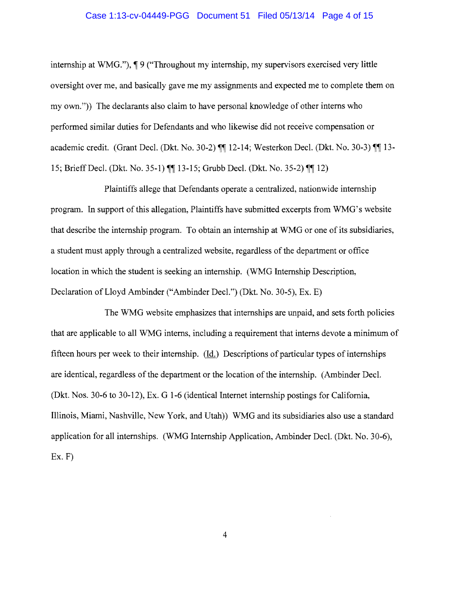### Case 1:13-cv-04449-PGG Document 51 Filed 05/13/14 Page 4 of 15

internship at WMG."),  $\P$  9 ("Throughout my internship, my supervisors exercised very little oversight over me, and basically gave me my assignments and expected me to complete them on my own.")) The declarants also claim to have personal knowledge of other interns who performed similar duties for Defendants and who likewise did not receive compensation or academic credit. (Grant Decl. (Dkt. No. 30-2)  $\P\P$  12-14; Westerkon Decl. (Dkt. No. 30-3)  $\P\P$  13-15; Brieff Decl. (Dkt. No. 35-1)  $\P\P$  13-15; Grubb Decl. (Dkt. No. 35-2)  $\P\P$  12)

Plaintiffs allege that Defendants operate a centralized, nationwide internship program. In support of this allegation, Plaintiffs have submitted excerpts from WMG's website that describe the internship program. To obtain an internship at WMG or one of its subsidiaries, a student must apply through a centralized website, regardless of the department or office location in which the student is seeking an internship. (WMG Internship Description, Declaration of Lloyd Ambinder ("Ambinder Decl.") (Dkt. No. 30-5), Ex. E)

The WMG website emphasizes that internships are unpaid, and sets forth policies that are applicable to all WMG interns, including a requirement that interns devote a minimum of fifteen hours per week to their internship. (Id.) Descriptions of particular types of internships are identical, regardless of the department or the location of the internship. (Ambinder Decl. (Dkt. Nos. 30-6 to 30-12), Ex. G 1-6 (identical Internet internship postings for California, Illinois, Miami, Nashville, New York, and Utah)) WMG and its subsidiaries also use a standard application for all internships. (WMG Internship Application, Ambinder Dec!. (Dkt. No. 30-6),  $Ex. F$ )

4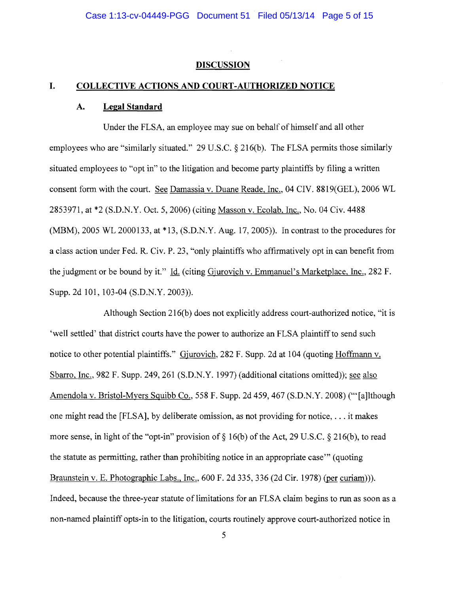#### **DISCUSSION**

## **I. COLLECTIVE ACTIONS AND COURT -AUTHORIZED NOTICE**

#### **A. Legal Standard**

Under the FLSA, an employee may sue on behalf of himself and all other employees who are "similarly situated." 29 U.S.C. § 216(b). The FLSA permits those similarly situated employees to "opt in" to the litigation and become party plaintiffs by filing a written consent form with the court. See Damassia v. Duane Reade, Inc., 04 CIV. 8819(GEL), 2006 WL 2853971, at \*2 (S.D.N.Y. Oct. 5,2006) (citing Masson v. Ecolab, Inc., No. 04 Civ. 4488 (MBM), 2005 WL 2000133, at \*13, (S.D.N.Y. Aug. 17,2005)). In contrast to the procedures for a class action under Fed. R. Civ. P. 23, "only plaintiffs who affirmatively opt in can benefit from the judgment or be bound by it." Id. (citing Gjurovich v. Emmanuel's Marketplace, Inc., 282 F. Supp. 2d 101, 103-04 (S.D.N.Y. 2003)).

Although Section 216(b) does not explicitly address court-authorized notice, "it is 'well settled' that district courts have the power to authorize an FLSA plaintiff to send such notice to other potential plaintiffs." Gjurovich, 282 F. Supp. 2d at 104 (quoting Hoffmann v. Sbarro, Inc., 982 F. Supp. 249,261 (S.D.N.Y. 1997) (additional citations omitted)); see also Amendola v. Bristol-Myers Squibb Co., 558 F. Supp. 2d 459,467 (S.D.N.Y. 2008) ("'[a]lthough one might read the [FLSA], by deliberate omission, as not providing for notice, ... it makes more sense, in light of the "opt-in" provision of  $\S$  16(b) of the Act, 29 U.S.C.  $\S$  216(b), to read the statute as permitting, rather than prohibiting notice in an appropriate case'" (quoting Braunstein v. E. Photographic Labs., Inc., 600 F. 2d 335, 336 (2d Cir. 1978) (per curiam))). Indeed, because the three-year statute of limitations for an FLSA claim begins to run as soon as a non-named plaintiff opts-in to the litigation, courts routinely approve court-authorized notice in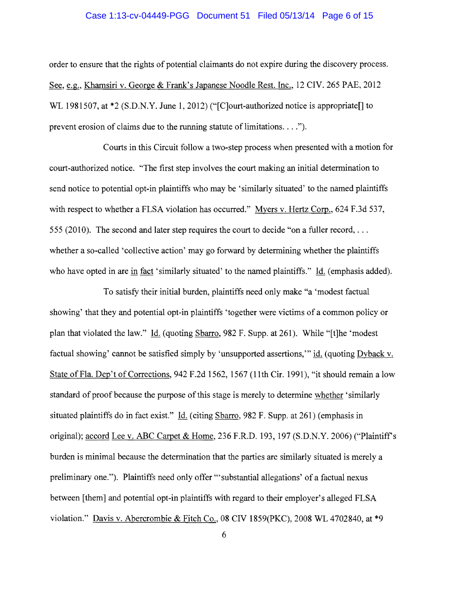## Case 1:13-cv-04449-PGG Document 51 Filed 05/13/14 Page 6 of 15

order to ensure that the rights of potential claimants do not expire during the discovery process. See, e.g., Khamsiri v. George & Frank's Japanese Noodle Rest. Inc., 12 CIV. 265 PAE, 2012 WL 1981507, at \*2 (S.D.N.Y. June 1, 2012) ("[C]ourt-authorized notice is appropriate]] to prevent erosion of claims due to the running statute of limitations.  $\dots$ ").

Courts in this Circuit follow a two-step process when presented with a motion for court-authorized notice. "The first step involves the court making an initial determination to send notice to potential opt-in plaintiffs who may be 'similarly situated' to the named plaintiffs with respect to whether a FLSA violation has occurred." Myers v. Hertz Corp., 624 F.3d 537, 555 (2010). The second and later step requires the court to decide "on a fuller record, ... whether a so-called 'collective action' may go forward by determining whether the plaintiffs who have opted in are in fact 'similarly situated' to the named plaintiffs." Id. (emphasis added).

To satisfy their initial burden, plaintiffs need only make "a 'modest factual showing' that they and potential opt-in plaintiffs 'together were victims of a common policy or plan that violated the law." (quoting Sbarro, 982 F. Supp. at 261). While "[t]he 'modest factual showing' cannot be satisfied simply by 'unsupported assertions,'" id. (quoting Dyback v. State of Fla. Dep't of Corrections, 942 F.2d 1562, 1567 (11th Cir. 1991), "it should remain a low standard of proof because the purpose of this stage is merely to determine whether 'similarly situated plaintiffs do in fact exist." Id. (citing Sbarro, 982 F. Supp. at 261) (emphasis in original); accord Lee v. ABC Carpet & Home, 236 F.R.D. 193, 197 (S.D.N.Y. 2006) ("Plaintiff's burden is minimal because the determination that the parties are similarly situated is merely a preliminary one."). Plaintiffs need only offer "'substantial allegations' of a factual nexus between [them] and potential opt-in plaintiffs with regard to their employer's alleged FLSA violation." Davis v. Abercrombie & Fitch Co., 08 CIV 1859(PKC), 2008 WL 4702840, at \*9

6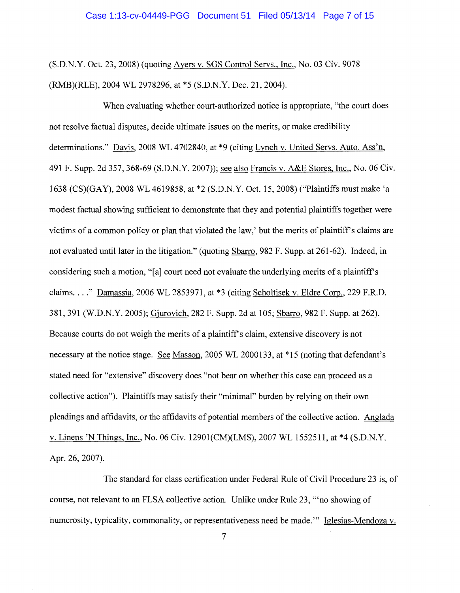(S.D.N.Y. Oct. 23, 2008) (quoting Ayers v. SGS Control Servs., Inc., No. 03 Civ. 9078 (RMB)(RLE), 2004 WL 2978296, at \*5 (S.D.N.Y. Dec. 21, 2004).

When evaluating whether court-authorized notice is appropriate, "the court does not resolve factual disputes, decide ultimate issues on the merits, or make credibility determinations." Davis, 2008 WL 4702840, at \*9 (citing Lynch v. United Servs. Auto. Ass'n, 491 F. Supp. 2d 357, 368-69 (S.D.N.Y. 2007»; see also Francis v. A&E Stores, Inc., No. 06 Civ. 1638 (CS)(GAY), 2008 WL4619858, at \*2 (S.D.N.Y. Oct. 15,2008) ("Plaintiffs must make 'a modest factual showing sufficient to demonstrate that they and potential plaintiffs together were victims of a common policy or plan that violated the law,' but the merits of plaintiff's claims are not evaluated until later in the litigation." (quoting Sbarro, 982 F. Supp. at 261-62). Indeed, in considering such a motion, "[a] court need not evaluate the underlying merits of a plaintiff's claims...." Damassia, 2006 WL 2853971, at \*3 (citing Scholtisek v. Eldre Corp., 229 F.R.D. 381,391 (W.D.N.Y. 2005); Gjurovich, 282 F. Supp. 2d at 105; Sbarro, 982 F. Supp. at 262). Because courts do not weigh the merits of a plaintiff's claim, extensive discovery is not necessary at the notice stage. See Masson, 2005 WL 2000133, at \*15 (noting that defendant's stated need for "extensive" discovery does "not bear on whether this case can proceed as a collective action"). Plaintiffs may satisfy their "minimal" burden by relying on their own pleadings and affidavits, or the affidavits of potential members ofthe collective action. Anglada v. Linens 'N Things, Inc., No. 06 Civ. 12901 (CM)(LMS), 2007 WL 1552511, at \*4 (S.D.N.Y. Apr. 26, 2007).

The standard for class certification under Federal Rule of Civil Procedure 23 is, of course, not relevant to an FLSA collective action. Unlike under Rule 23, '''no showing of numerosity, typicality, commonality, or representativeness need be made.'" Iglesias-Mendoza v.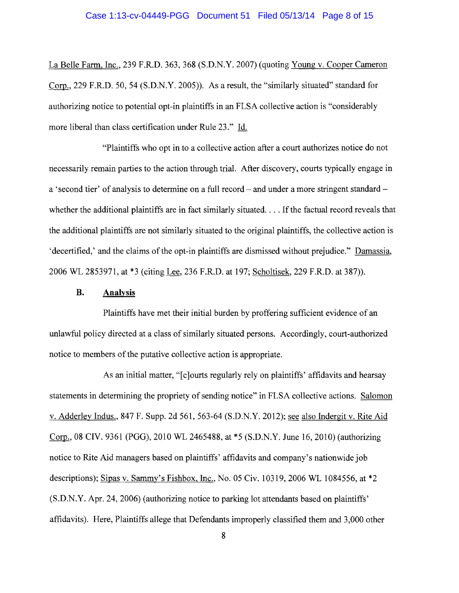La Belle Farm, Inc., 239 F.RD. 363, 368 (S.D.N.Y. 2007) (quoting Young v. Cooper Cameron Corp., 229 F.RD. 50,54 (S.D.N.Y. 2005)). As a result, the "similarly situated" standard for authorizing notice to potential opt-in plaintiffs in an FLSA collective action is "considerably more liberal than class certification under Rule 23." Id.

"Plaintiffs who opt in to a collective action after a court authorizes notice do not necessarily remain parties to the action through trial. After discovery, courts typically engage in a 'second tier' of analysis to determine on a full record – and under a more stringent standard – whether the additional plaintiffs are in fact similarly situated... If the factual record reveals that the additional plaintiffs are not similarly situated to the original plaintiffs, the collective action is 'decertified,' and the claims of the opt-in plaintiffs are dismissed without prejudice." Damassia, 2006 WL 2853971, at \*3 (citing Lee, 236 F.RD. at 197; Scholtisek, 229 F.RD. at 387)).

## **B. Analysis**

Plaintiffs have met their initial burden by proffering sufficient evidence of an unlawful policy directed at a class of similarly situated persons. Accordingly, court-authorized notice to members of the putative collective action is appropriate.

As an initial matter, "[c]ourts regularly rely on plaintiffs' affidavits and hearsay statements in determining the propriety of sending notice" in FLSA collective actions. Salomon v. Adderley Indus., 847 F. Supp. 2d 561, 563-64 (S.D.N.Y. 2012); see also Indergit v. Rite Aid Corp., 08 CIV. 9361 (PGG), 2010 WL 2465488, at \*5 (S.D.N.Y. June 16,2010) (authorizing notice to Rite Aid managers based on plaintiffs' affidavits and company's nationwide job descriptions); Sipas v. Sammy's Fishbox, Inc., No. 05 Civ. 10319, 2006 WL 1084556, at \*2 (S.D.N.Y. Apr. 24, 2006) (authorizing notice to parking lot attendants based on plaintiffs' affidavits). Here, Plaintiffs allege that Defendants improperly classified them and 3,000 other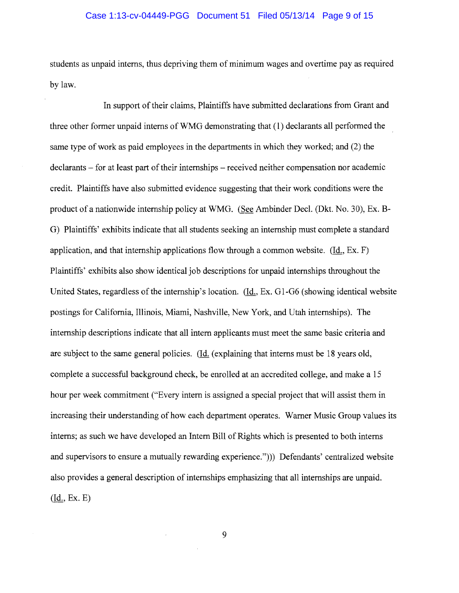## Case 1:13-cv-04449-PGG Document 51 Filed 05/13/14 Page 9 of 15

students as unpaid interns, thus depriving them of minimum wages and overtime pay as required by law.

In support of their claims, Plaintiffs have submitted declarations from Grant and three other former unpaid interns of WMG demonstrating that (1) declarants all performed the same type of work as paid employees in the departments in which they worked; and (2) the declarants – for at least part of their internships – received neither compensation nor academic credit. Plaintiffs have also submitted evidence suggesting that their work conditions were the product of a nationwide internship policy at WMG. (See Ambinder Decl. (Dkt. No. 30), Ex. B-G) Plaintiffs' exhibits indicate that all students seeking an internship must complete a standard application, and that internship applications flow through a common website.  $(Hd, Ex, F)$ Plaintiffs' exhibits also show identical job descriptions for unpaid internships throughout the United States, regardless of the internship's location. (Id., Ex. G1-G6 (showing identical website po stings for California, Illinois, Miami, Nashville, New York, and Utah internships). The internship descriptions indicate that all intern applicants must meet the same basic criteria and are subject to the same general policies. (Id. (explaining that interns must be 18 years old, complete a successful background check, be emolled at an accredited college, and make a 15 hour per week commitment ("Every intern is assigned a special project that will assist them in increasing their understanding of how each department operates. Warner Music Group values its interns; as such we have developed an Intern Bill of Rights which is presented to both interns and supervisors to ensure a mutually rewarding experience."))) Defendants' centralized website also provides a general description of internships emphasizing that all internships are unpaid. (Id., Ex. E)

9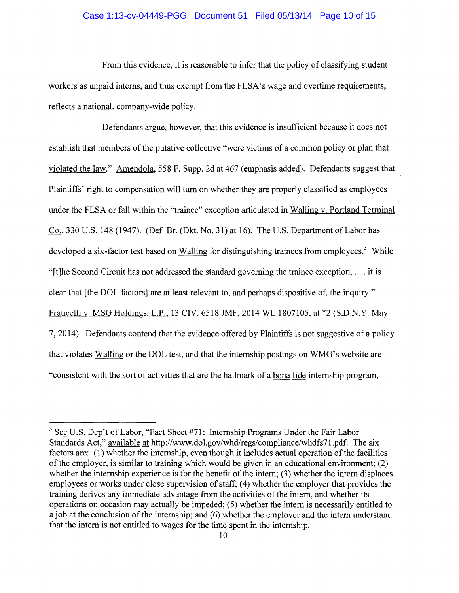## Case 1:13-cv-04449-PGG Document 51 Filed 05/13/14 Page 10 of 15

From this evidence, it is reasonable to infer that the policy of classifying student workers as unpaid interns, and thus exempt from the FLSA's wage and overtime requirements, reflects a national, company-wide policy.

Defendants argue, however, that this evidence is insufficient because it does not establish that members of the putative collective "were victims of a common policy or plan that violated the law." Amendola, 558 F. Supp. 2d at 467 (emphasis added). Defendants suggest that Plaintiffs' right to compensation will turn on whether they are properly classified as employees under the FLSA or fall within the "trainee" exception articulated in Walling v. Portland Terminal Co., 330 U.S. 148 (1947). (Def. Br. (Dkt. No. 31) at 16). The U.S. Department of Labor has developed a six-factor test based on Walling for distinguishing trainees from employees.<sup>3</sup> While "[t]he Second Circuit has not addressed the standard governing the trainee exception, ... it is clear that [the DOL factors] are at least relevant to, and perhaps dispositive of, the inquiry." Fraticelli v. MSG Holdings, L.P., 13 CIV. 6518 JMF, 2014 WL 1807105, at \*2 (S.D.N.Y. May 7,2014). Defendants contend that the evidence offered by Plaintiffs is not suggestive of a policy that violates Walling or the DOL test, and that the internship postings on WMG's website are "consistent with the sort of activities that are the hallmark of a bona fide internship program,

<sup>&</sup>lt;sup>3</sup> See U.S. Dep't of Labor, "Fact Sheet #71: Internship Programs Under the Fair Labor Standards Act," available at http://www.dol.gov/whd/regs/compliance/whdfs71.pdf. The six factors are: (1) whether the internship, even though it includes actual operation of the facilities of the employer, is similar to training which would be given in an educational environment; (2) whether the internship experience is for the benefit of the intern; (3) whether the intern displaces employees or works under close supervision of staff; (4) whether the employer that provides the training derives any immediate advantage from the activities of the intern, and whether its operations on occasion may actually be impeded; (5) whether the intern is necessarily entitled to ajob at the conclusion of the internship; and (6) whether the employer and the intern understand that the intern is not entitled to wages for the time spent in the internship.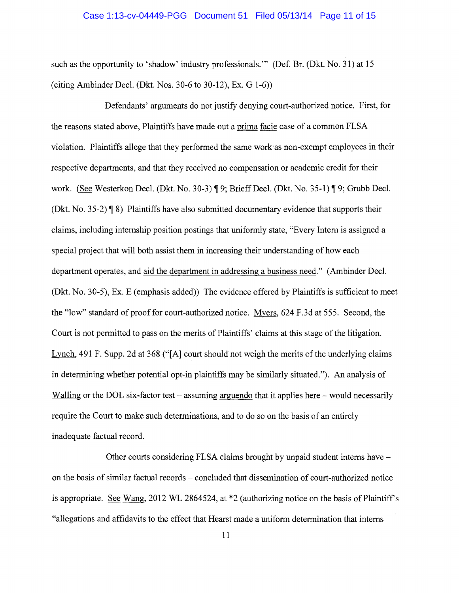### Case 1:13-cv-04449-PGG Document 51 Filed 05/13/14 Page 11 of 15

such as the opportunity to 'shadow' industry professionals.'" (Def. Br. (Dkt. No. 31) at 15 (citing Ambinder Decl. (Dkt. Nos. 30-6 to 30-12), Ex. G 1-6»

Defendants' arguments do not justify denying court-authorized notice. First, for the reasons stated above, Plaintiffs have made out a prima facie case of a common FLSA violation. Plaintiffs allege that they performed the same work-as non-exempt employees in their respective departments, and that they received no compensation or academic credit for their work. (See Westerkon Decl. (Dkt. No. 30-3) ¶ 9; Brieff Decl. (Dkt. No. 35-1) ¶ 9; Grubb Decl. (Dkt. No. 35-2)  $\P$  8) Plaintiffs have also submitted documentary evidence that supports their claims, including internship position postings that uniformly state, "Every Intern is assigned a special project that will both assist them in increasing their understanding of how each department operates, and aid the department in addressing a business need." (Ambinder Decl. (Dkt. No. 30-5), Ex. E (emphasis added)) The evidence offered by Plaintiffs is sufficient to meet the "low" standard of proof for court-authorized notice. Myers, 624 F.3d at 555. Second, the Court is not permitted to pass on the merits of Plaintiffs' claims at this stage of the litigation. Lynch, 491 F. Supp. 2d at 368 ("[A] court should not weigh the merits of the underlying claims in determining whether potential opt-in plaintiffs may be similarly situated."). An analysis of Walling or the DOL six-factor test  $-$  assuming arguendo that it applies here  $-$  would necessarily require the Court to make such determinations, and to do so on the basis of an entirely inadequate factual record.

Other courts considering FLSA claims brought by unpaid student interns have on the basis of similar factual records - concluded that dissemination of court-authorized notice is appropriate. See Wang, 2012 WL 2864524, at  $*2$  (authorizing notice on the basis of Plaintiff's "allegations and affidavits to the effect that Hearst made a uniform determination that interns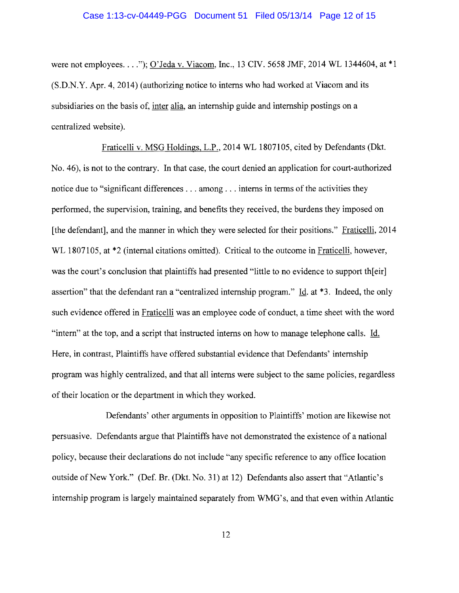were not employees ...."); O'Jeda v. Viacom, Inc., 13 *CN.* 5658 JMF, 2014 WL 1344604, at \*1 (S.D.N.Y. Apr. 4, 2014) (authorizing notice to interns who had worked at Viacom and its subsidiaries on the basis of, inter alia, an internship guide and internship postings on a centralized website).

Fraticelli v. MSG Holdings, L.P., 2014 WL 1807105, cited by Defendants (Dkt. No. 46), is not to the contrary. In that case, the court denied an application for court-authorized notice due to "significant differences . . . among . . . interns in terms of the activities they performed, the supervision, training, and benefits they received, the burdens they imposed on [the defendant], and the manner in which they were selected for their positions." Fraticelli, 2014 WL 1807105, at  $*2$  (internal citations omitted). Critical to the outcome in Fraticelli, however, was the court's conclusion that plaintiffs had presented "little to no evidence to support th[eir] assertion" that the defendant ran a "centralized internship program."  $\text{Id}$ , at \*3. Indeed, the only such evidence offered in Fraticelli was an employee code of conduct, a time sheet with the word "intern" at the top, and a script that instructed interns on how to manage telephone calls. Id. Here, in contrast, Plaintiffs have offered substantial evidence that Defendants' internship program was highly centralized, and that all interns were subject to the same policies, regardless of their location or the department in which they worked.

Defendants' other arguments in opposition to Plaintiffs' motion are likewise not persuasive. Defendants argue that Plaintiffs have not demonstrated the existence of a national policy, because their declarations do not include "any specific reference to any office location outside of New York." (Def. Br. (Dkt. No. 31) at 12) Defendants also assert that "Atlantic's internship program is largely maintained separately from WMG's, and that even within Atlantic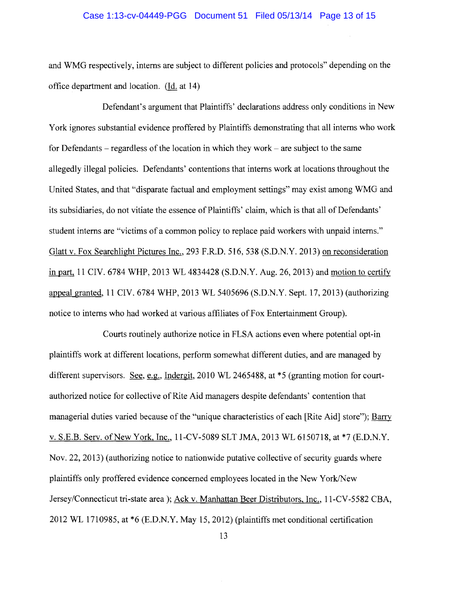and WMG respectively, interns are subject to different policies and protocols" depending on the office department and location. (Id. at 14)

Defendant's argument that Plaintiffs' declarations address only conditions in New York ignores substantial evidence proffered by Plaintiffs demonstrating that all interns who work for Defendants  $-$  regardless of the location in which they work  $-$  are subject to the same allegedly illegal policies. Defendants' contentions that interns work at locations throughout the United States, and that "disparate factual and employment settings" may exist among WMG and its subsidiaries, do not vitiate the essence of Plaintiffs' claim, which is that all of Defendants' student interns are "victims of a common policy to replace paid workers with unpaid interns." Glatt v. Fox Searchlight Pictures Inc., 293 F.R.D. 516, 538 (S.D.N.Y. 20l3) on reconsideration in part, 11 CIV. 6784 WHP, 2013 WL 4834428 (S.D.N.Y. Aug. 26, 2013) and motion to certify appeal granted, 11 CIV. 6784 WHP, 2013 WL 5405696 (S.D.N.Y. Sept. 17, 20l3) (authorizing notice to interns who had worked at various affiliates of Fox Entertainment Group).

Courts routinely authorize notice in FLSA actions even where potential opt-in plaintiffs work at different locations, perform somewhat different duties, and are managed by different supervisors. See, e.g., Indergit, 2010 WL 2465488, at  $*5$  (granting motion for courtauthorized notice for collective of Rite Aid managers despite defendants' contention that managerial duties varied because of the "unique characteristics of each [Rite Aid] store"); Barry v. S.E.B. Serv. of New York, Inc., 11-CV-5089 SLT JMA, 2013 WL 6150718, at \*7 (E.D.N.Y.) Nov. 22, 20l3) (authorizing notice to nationwide putative collective of security guards where plaintiffs only proffered evidence concerned employees located in the New York/New Jersey/Connecticut tri-state area); Ack v. Manhattan Beer Distributors, Inc., l1-CV-5582 CBA, 2012 WL 1710985, at \*6 (E.D.N.Y. May 15,2012) (plaintiffs met conditional certification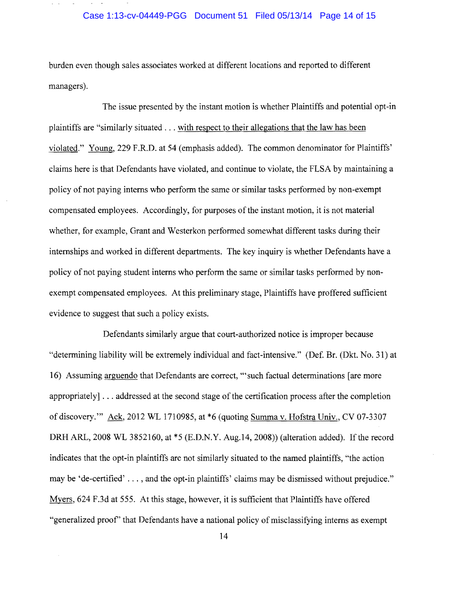## Case 1:13-cv-04449-PGG Document 51 Filed 05/13/14 Page 14 of 15

burden even though sales associates worked at different locations and reported to different managers).

The issue presented by the instant motion is whether Plaintiffs and potential opt-in plaintiffs are "similarly situated ... with respect to their allegations that the law has been violated." Young, 229 F.R.D. at 54 (emphasis added). The common denominator for Plaintiffs' claims here is that Defendants have violated, and continue to violate, the FLSA by maintaining a policy of not paying interns who perform the same or similar tasks performed by non-exempt compensated employees. Accordingly, for purposes of the instant motion, it is not material whether, for example, Grant and Westerkon performed somewhat different tasks during their internships and worked in different departments. The key inquiry is whether Defendants have a policy of not paying student interns who perform the same or similar tasks performed by nonexempt compensated employees. At this preliminary stage, Plaintiffs have proffered sufficient evidence to suggest that such a policy exists.

Defendants similarly argue that court-authorized notice is improper because "determining liability will be extremely individual and fact-intensive." (Def. Br. (Dkt. No. 31) at 16) Assuming arguendo that Defendants are correct, "'such factual determinations [are more appropriately]  $\dots$  addressed at the second stage of the certification process after the completion of discovery.'" Ack, 2012 WL 1710985, at \*6 (quoting Summa v. Hofstra Univ., CV 07-3307 DRH ARL, 2008 WL 3852160, at \*5 (E.D.N.Y. Aug.14, 2008)) (alteration added). If the record indicates that the opt-in plaintiffs are not similarly situated to the named plaintiffs, "the action may be 'de-certified' ... , and the opt-in plaintiffs' claims may be dismissed without prejudice." Myers, 624 F.3d at 555. At this stage, however, it is sufficient that Plaintiffs have offered "generalized proof' that Defendants have a national policy of misclassifying interns as exempt